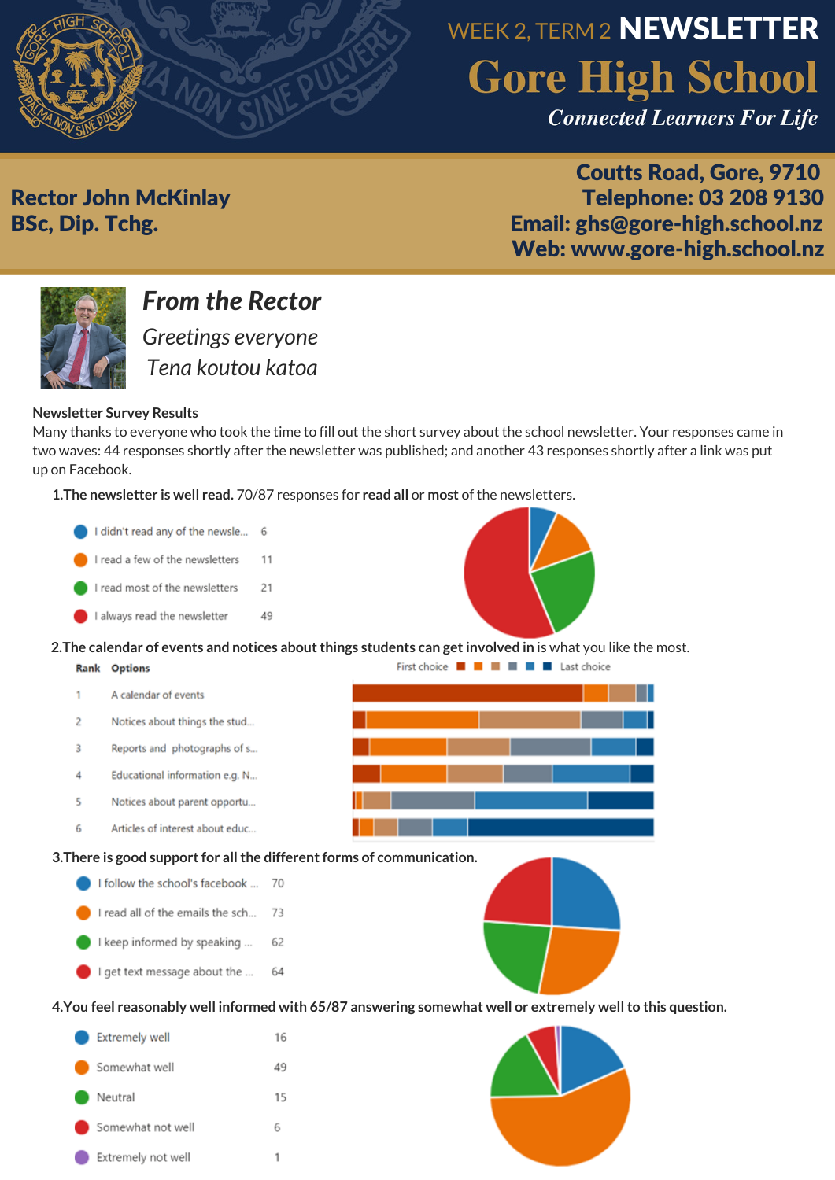

# WEEK 2, TERM 2 **NEWSLETTER Gore High School**

**Connected Learners For Life** 

Coutts Road, Gore, 9710 Rector John McKinlay Telephone: 03 208 9130 BSc, Dip. Tchg. Email: ghs@gore-high.school.nz Web: www.gore-high.school.nz



## *From the Rector*

*Greetings everyone Tena koutou katoa*

#### **Newsletter Survey Results**

Many thanks to everyone who took the time to fill out the short survey about the school newsletter. Your responses came in two waves: 44 responses shortly after the newsletter was published; and another 43 responses shortly after a link was put up on Facebook.

**1.The newsletter is well read.** 70/87 responses for **read all** or **most** of the newsletters.



Extremely not well

 $\mathbf{1}$